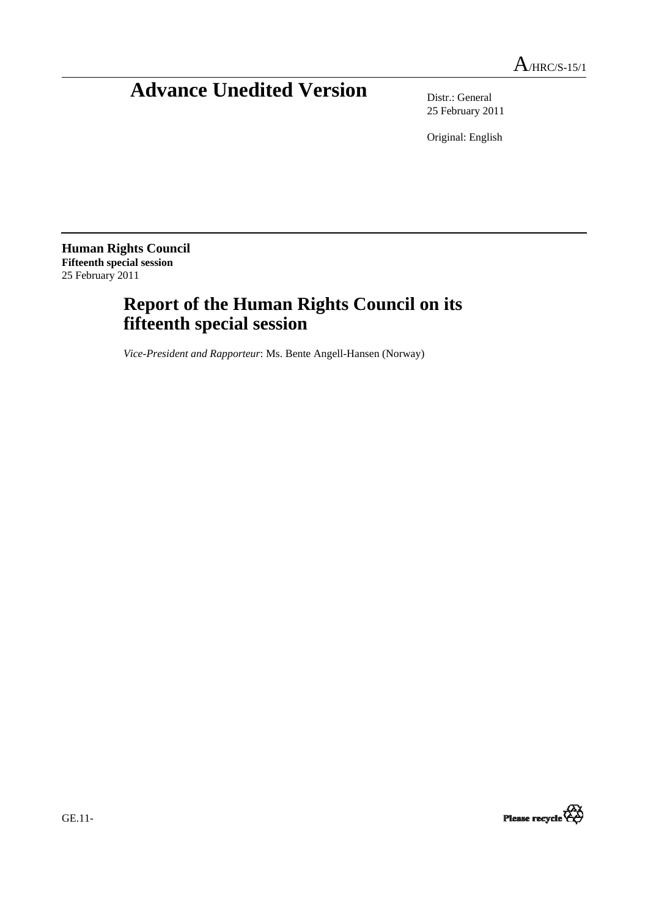# **Advance Unedited Version** Distr.: General

25 February 2011

Original: English

**Human Rights Council Fifteenth special session**  25 February 2011

## **Report of the Human Rights Council on its fifteenth special session**

*Vice-President and Rapporteur*: Ms. Bente Angell-Hansen (Norway)

Please recycle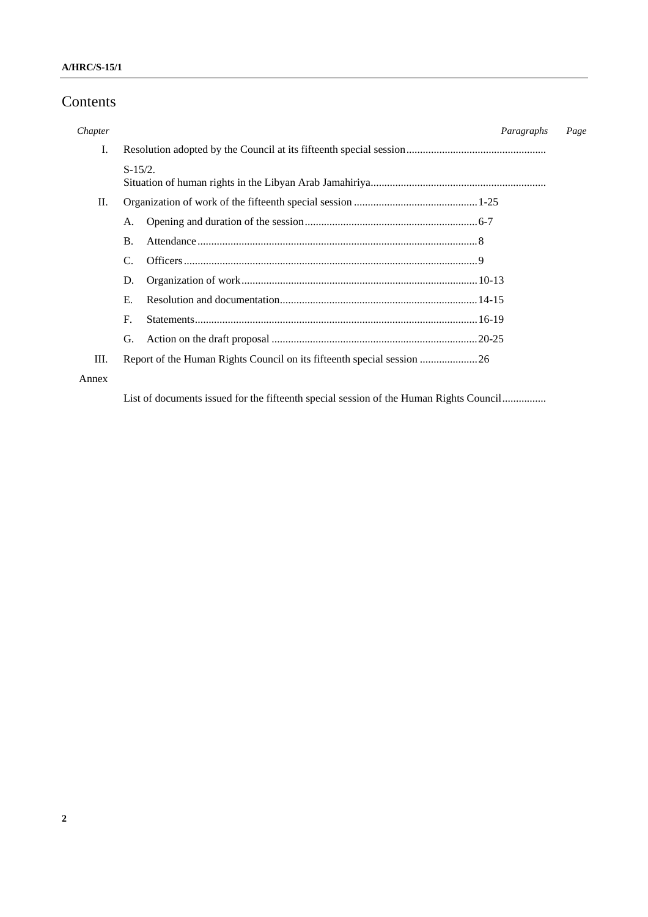## Contents

| Chapter |                | Paragraphs | Page |  |
|---------|----------------|------------|------|--|
| I.      |                |            |      |  |
|         | $S-15/2.$      |            |      |  |
| П.      |                |            |      |  |
|         | А.             |            |      |  |
|         | <b>B.</b>      |            |      |  |
|         | C.             |            |      |  |
|         | D.             |            |      |  |
|         | Е.             |            |      |  |
|         | $\mathbf{F}$ . |            |      |  |
|         | G.             |            |      |  |
| Ш.      |                |            |      |  |
| Annex   |                |            |      |  |

List of documents issued for the fifteenth special session of the Human Rights Council................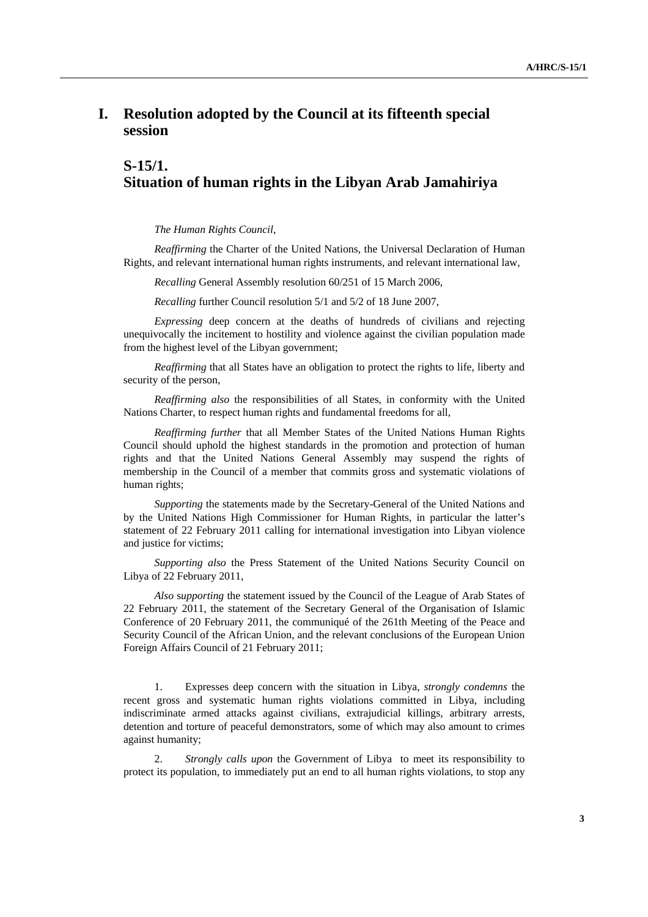### **I. Resolution adopted by the Council at its fifteenth special session**

## **S-15/1. Situation of human rights in the Libyan Arab Jamahiriya**

*The Human Rights Council*,

*Reaffirming* the Charter of the United Nations, the Universal Declaration of Human Rights, and relevant international human rights instruments, and relevant international law,

*Recalling* General Assembly resolution 60/251 of 15 March 2006,

*Recalling* further Council resolution 5/1 and 5/2 of 18 June 2007,

 *Expressing* deep concern at the deaths of hundreds of civilians and rejecting unequivocally the incitement to hostility and violence against the civilian population made from the highest level of the Libyan government;

*Reaffirming* that all States have an obligation to protect the rights to life, liberty and security of the person,

 *Reaffirming also* the responsibilities of all States, in conformity with the United Nations Charter, to respect human rights and fundamental freedoms for all,

*Reaffirming further* that all Member States of the United Nations Human Rights Council should uphold the highest standards in the promotion and protection of human rights and that the United Nations General Assembly may suspend the rights of membership in the Council of a member that commits gross and systematic violations of human rights;

*Supporting* the statements made by the Secretary-General of the United Nations and by the United Nations High Commissioner for Human Rights, in particular the latter's statement of 22 February 2011 calling for international investigation into Libyan violence and justice for victims;

 *Supporting also* the Press Statement of the United Nations Security Council on Libya of 22 February 2011,

*Also* s*upporting* the statement issued by the Council of the League of Arab States of 22 February 2011, the statement of the Secretary General of the Organisation of Islamic Conference of 20 February 2011, the communiqué of the 261th Meeting of the Peace and Security Council of the African Union, and the relevant conclusions of the European Union Foreign Affairs Council of 21 February 2011;

 1. Expresses deep concern with the situation in Libya, *strongly condemns* the recent gross and systematic human rights violations committed in Libya, including indiscriminate armed attacks against civilians, extrajudicial killings, arbitrary arrests, detention and torture of peaceful demonstrators, some of which may also amount to crimes against humanity;

 2. *Strongly calls upon* the Government of Libya to meet its responsibility to protect its population, to immediately put an end to all human rights violations, to stop any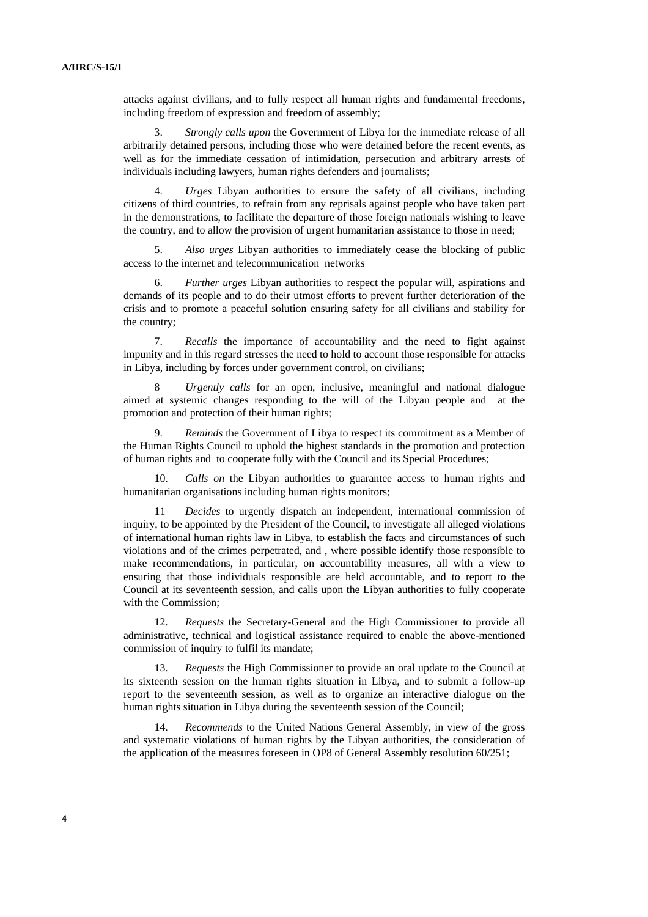attacks against civilians, and to fully respect all human rights and fundamental freedoms, including freedom of expression and freedom of assembly;

 3. *Strongly calls upon* the Government of Libya for the immediate release of all arbitrarily detained persons, including those who were detained before the recent events, as well as for the immediate cessation of intimidation, persecution and arbitrary arrests of individuals including lawyers, human rights defenders and journalists;

 4. *Urges* Libyan authorities to ensure the safety of all civilians, including citizens of third countries, to refrain from any reprisals against people who have taken part in the demonstrations, to facilitate the departure of those foreign nationals wishing to leave the country, and to allow the provision of urgent humanitarian assistance to those in need;

 5. *Also urges* Libyan authorities to immediately cease the blocking of public access to the internet and telecommunication networks

 6. *Further urges* Libyan authorities to respect the popular will, aspirations and demands of its people and to do their utmost efforts to prevent further deterioration of the crisis and to promote a peaceful solution ensuring safety for all civilians and stability for the country;

 7. *Recalls* the importance of accountability and the need to fight against impunity and in this regard stresses the need to hold to account those responsible for attacks in Libya, including by forces under government control, on civilians;

 8 *Urgently calls* for an open, inclusive, meaningful and national dialogue aimed at systemic changes responding to the will of the Libyan people and at the promotion and protection of their human rights;

 9. *Reminds* the Government of Libya to respect its commitment as a Member of the Human Rights Council to uphold the highest standards in the promotion and protection of human rights and to cooperate fully with the Council and its Special Procedures;

 10. *Calls on* the Libyan authorities to guarantee access to human rights and humanitarian organisations including human rights monitors;

 11 *Decides* to urgently dispatch an independent, international commission of inquiry, to be appointed by the President of the Council, to investigate all alleged violations of international human rights law in Libya, to establish the facts and circumstances of such violations and of the crimes perpetrated, and , where possible identify those responsible to make recommendations, in particular, on accountability measures, all with a view to ensuring that those individuals responsible are held accountable, and to report to the Council at its seventeenth session, and calls upon the Libyan authorities to fully cooperate with the Commission;

 12. *Requests* the Secretary-General and the High Commissioner to provide all administrative, technical and logistical assistance required to enable the above-mentioned commission of inquiry to fulfil its mandate;

 13. *Requests* the High Commissioner to provide an oral update to the Council at its sixteenth session on the human rights situation in Libya, and to submit a follow-up report to the seventeenth session, as well as to organize an interactive dialogue on the human rights situation in Libya during the seventeenth session of the Council;

 14. *Recommends* to the United Nations General Assembly, in view of the gross and systematic violations of human rights by the Libyan authorities, the consideration of the application of the measures foreseen in OP8 of General Assembly resolution 60/251;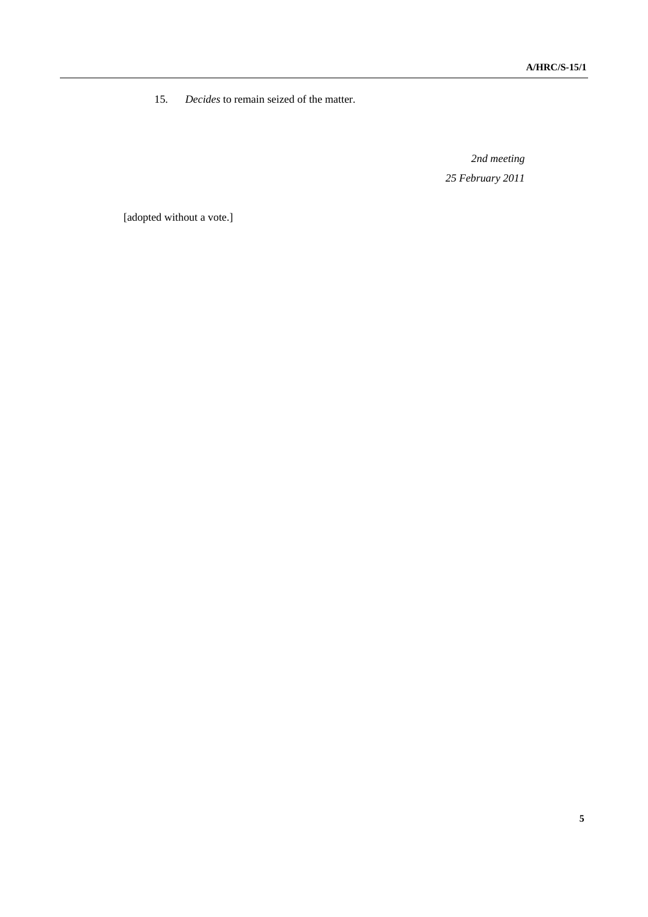15. *Decides* to remain seized of the matter.

*2nd meeting 25 February 2011* 

[adopted without a vote.]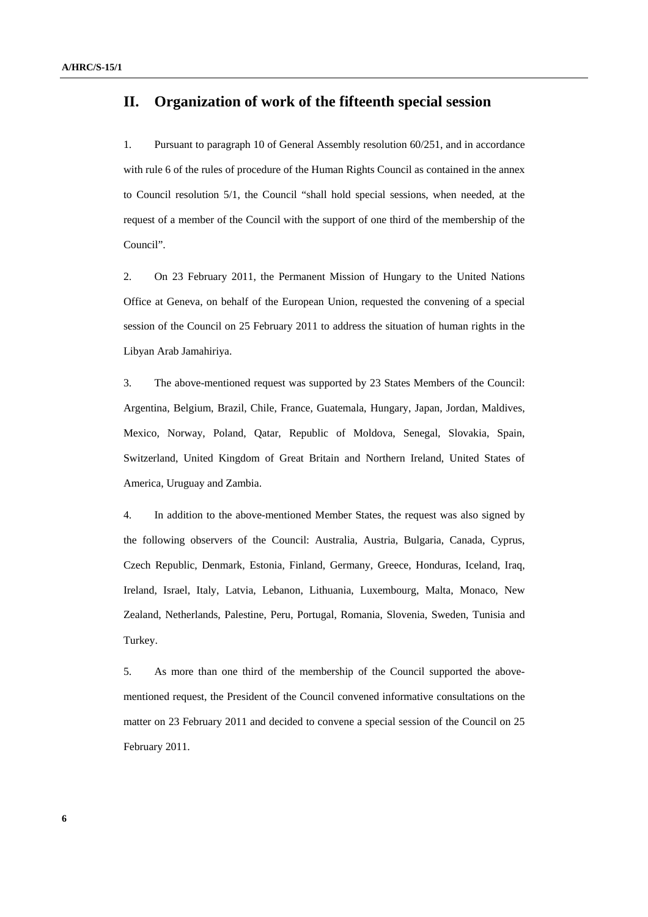### **II. Organization of work of the fifteenth special session**

1. Pursuant to paragraph 10 of General Assembly resolution 60/251, and in accordance with rule 6 of the rules of procedure of the Human Rights Council as contained in the annex to Council resolution 5/1, the Council "shall hold special sessions, when needed, at the request of a member of the Council with the support of one third of the membership of the Council".

2. On 23 February 2011, the Permanent Mission of Hungary to the United Nations Office at Geneva, on behalf of the European Union, requested the convening of a special session of the Council on 25 February 2011 to address the situation of human rights in the Libyan Arab Jamahiriya.

3. The above-mentioned request was supported by 23 States Members of the Council: Argentina, Belgium, Brazil, Chile, France, Guatemala, Hungary, Japan, Jordan, Maldives, Mexico, Norway, Poland, Qatar, Republic of Moldova, Senegal, Slovakia, Spain, Switzerland, United Kingdom of Great Britain and Northern Ireland, United States of America, Uruguay and Zambia.

4. In addition to the above-mentioned Member States, the request was also signed by the following observers of the Council: Australia, Austria, Bulgaria, Canada, Cyprus, Czech Republic, Denmark, Estonia, Finland, Germany, Greece, Honduras, Iceland, Iraq, Ireland, Israel, Italy, Latvia, Lebanon, Lithuania, Luxembourg, Malta, Monaco, New Zealand, Netherlands, Palestine, Peru, Portugal, Romania, Slovenia, Sweden, Tunisia and Turkey.

5. As more than one third of the membership of the Council supported the abovementioned request, the President of the Council convened informative consultations on the matter on 23 February 2011 and decided to convene a special session of the Council on 25 February 2011.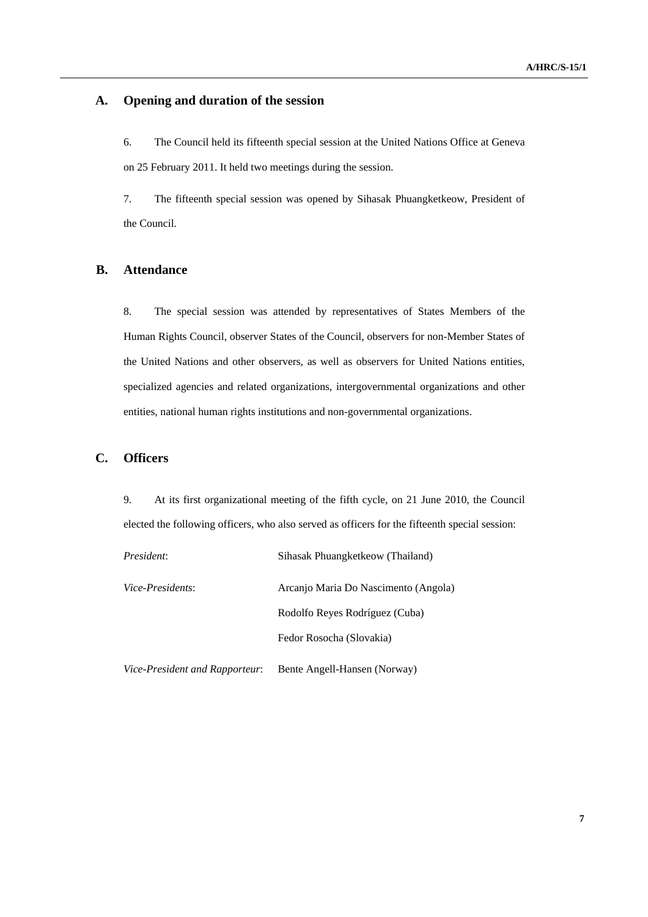#### **A. Opening and duration of the session**

6. The Council held its fifteenth special session at the United Nations Office at Geneva on 25 February 2011. It held two meetings during the session.

7. The fifteenth special session was opened by Sihasak Phuangketkeow, President of the Council.

#### **B. Attendance**

8. The special session was attended by representatives of States Members of the Human Rights Council, observer States of the Council, observers for non-Member States of the United Nations and other observers, as well as observers for United Nations entities, specialized agencies and related organizations, intergovernmental organizations and other entities, national human rights institutions and non-governmental organizations.

#### **C. Officers**

9. At its first organizational meeting of the fifth cycle, on 21 June 2010, the Council elected the following officers, who also served as officers for the fifteenth special session:

| President:                     | Sihasak Phuangketkeow (Thailand)     |
|--------------------------------|--------------------------------------|
| Vice-Presidents:               | Arcanjo Maria Do Nascimento (Angola) |
|                                | Rodolfo Reyes Rodríguez (Cuba)       |
|                                | Fedor Rosocha (Slovakia)             |
| Vice-President and Rapporteur: | Bente Angell-Hansen (Norway)         |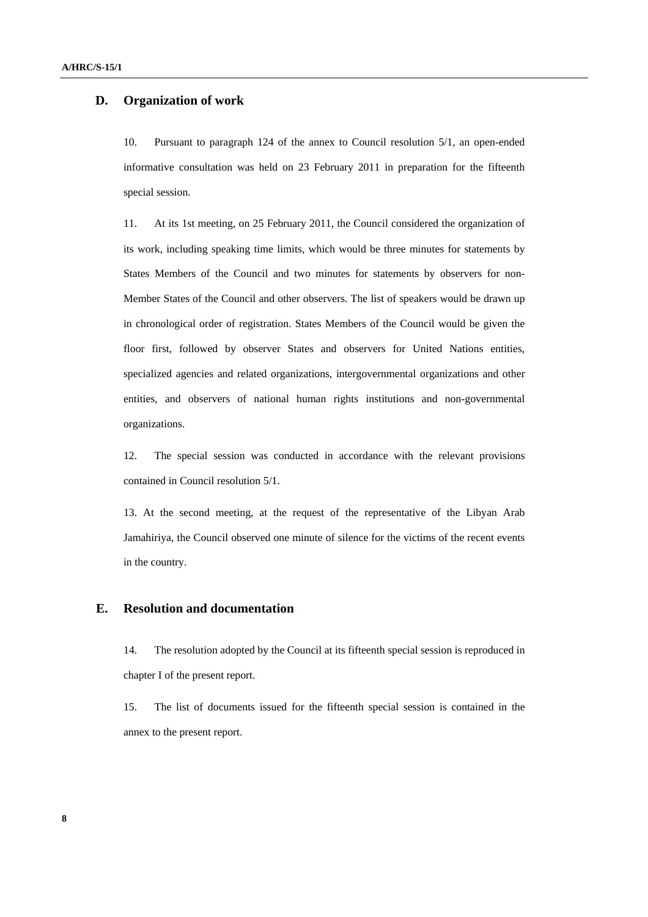#### **D. Organization of work**

10. Pursuant to paragraph 124 of the annex to Council resolution 5/1, an open-ended informative consultation was held on 23 February 2011 in preparation for the fifteenth special session.

11. At its 1st meeting, on 25 February 2011, the Council considered the organization of its work, including speaking time limits, which would be three minutes for statements by States Members of the Council and two minutes for statements by observers for non-Member States of the Council and other observers. The list of speakers would be drawn up in chronological order of registration. States Members of the Council would be given the floor first, followed by observer States and observers for United Nations entities, specialized agencies and related organizations, intergovernmental organizations and other entities, and observers of national human rights institutions and non-governmental organizations.

12. The special session was conducted in accordance with the relevant provisions contained in Council resolution 5/1.

13. At the second meeting, at the request of the representative of the Libyan Arab Jamahiriya, the Council observed one minute of silence for the victims of the recent events in the country.

#### **E. Resolution and documentation**

14. The resolution adopted by the Council at its fifteenth special session is reproduced in chapter I of the present report.

15. The list of documents issued for the fifteenth special session is contained in the annex to the present report.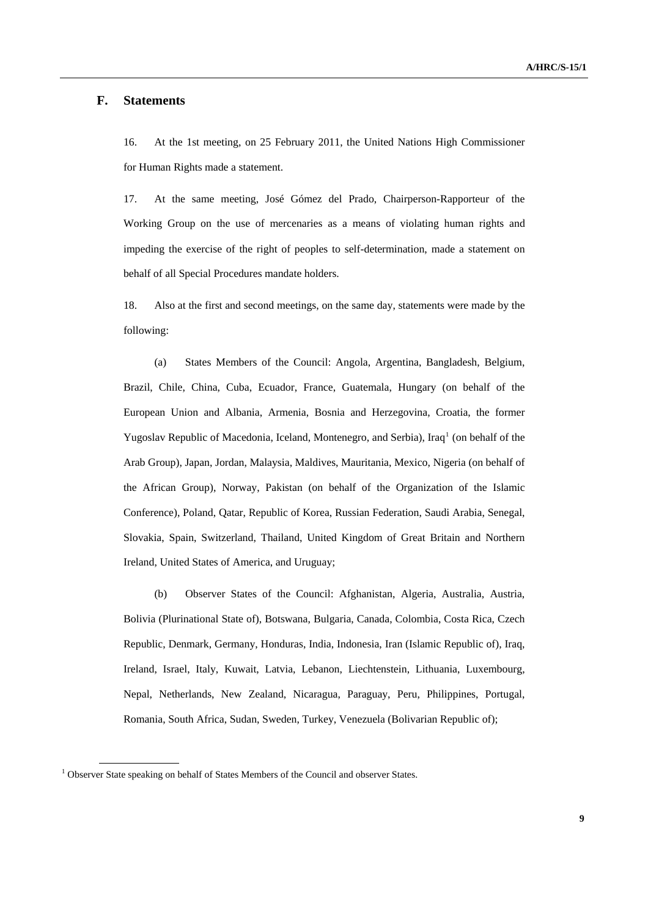#### <span id="page-8-0"></span> **F. Statements**

16. At the 1st meeting, on 25 February 2011, the United Nations High Commissioner for Human Rights made a statement.

17. At the same meeting, José Gómez del Prado, Chairperson-Rapporteur of the Working Group on the use of mercenaries as a means of violating human rights and impeding the exercise of the right of peoples to self-determination, made a statement on behalf of all Special Procedures mandate holders.

18. Also at the first and second meetings, on the same day, statements were made by the following:

 (a) States Members of the Council: Angola, Argentina, Bangladesh, Belgium, Brazil, Chile, China, Cuba, Ecuador, France, Guatemala, Hungary (on behalf of the European Union and Albania, Armenia, Bosnia and Herzegovina, Croatia, the former Yugoslav Republic of Macedonia, Iceland, Montenegro, and Serbia), Iraq<sup>[1](#page-8-0)</sup> (on behalf of the Arab Group), Japan, Jordan, Malaysia, Maldives, Mauritania, Mexico, Nigeria (on behalf of the African Group), Norway, Pakistan (on behalf of the Organization of the Islamic Conference), Poland, Qatar, Republic of Korea, Russian Federation, Saudi Arabia, Senegal, Slovakia, Spain, Switzerland, Thailand, United Kingdom of Great Britain and Northern Ireland, United States of America, and Uruguay;

 (b) Observer States of the Council: Afghanistan, Algeria, Australia, Austria, Bolivia (Plurinational State of), Botswana, Bulgaria, Canada, Colombia, Costa Rica, Czech Republic, Denmark, Germany, Honduras, India, Indonesia, Iran (Islamic Republic of), Iraq, Ireland, Israel, Italy, Kuwait, Latvia, Lebanon, Liechtenstein, Lithuania, Luxembourg, Nepal, Netherlands, New Zealand, Nicaragua, Paraguay, Peru, Philippines, Portugal, Romania, South Africa, Sudan, Sweden, Turkey, Venezuela (Bolivarian Republic of);

 $1$  Observer State speaking on behalf of States Members of the Council and observer States.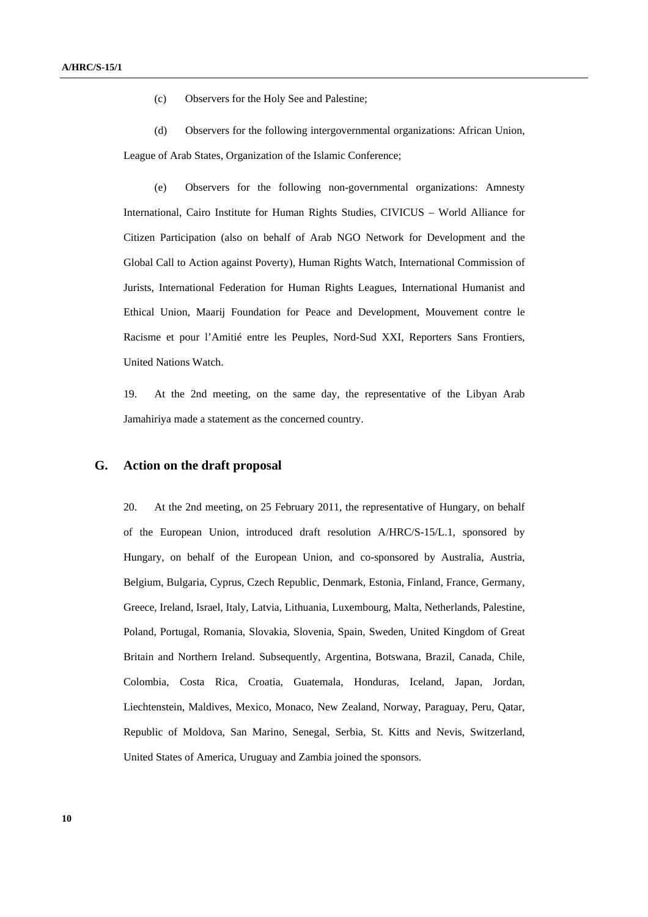(c) Observers for the Holy See and Palestine;

 (d) Observers for the following intergovernmental organizations: African Union, League of Arab States, Organization of the Islamic Conference;

 (e) Observers for the following non-governmental organizations: Amnesty International, Cairo Institute for Human Rights Studies, CIVICUS – World Alliance for Citizen Participation (also on behalf of Arab NGO Network for Development and the Global Call to Action against Poverty), Human Rights Watch, International Commission of Jurists, International Federation for Human Rights Leagues, International Humanist and Ethical Union, Maarij Foundation for Peace and Development, Mouvement contre le Racisme et pour l'Amitié entre les Peuples, Nord-Sud XXI, Reporters Sans Frontiers, United Nations Watch.

19. At the 2nd meeting, on the same day, the representative of the Libyan Arab Jamahiriya made a statement as the concerned country.

#### **G. Action on the draft proposal**

20. At the 2nd meeting, on 25 February 2011, the representative of Hungary, on behalf of the European Union, introduced draft resolution A/HRC/S-15/L.1, sponsored by Hungary, on behalf of the European Union, and co-sponsored by Australia, Austria, Belgium, Bulgaria, Cyprus, Czech Republic, Denmark, Estonia, Finland, France, Germany, Greece, Ireland, Israel, Italy, Latvia, Lithuania, Luxembourg, Malta, Netherlands, Palestine, Poland, Portugal, Romania, Slovakia, Slovenia, Spain, Sweden, United Kingdom of Great Britain and Northern Ireland. Subsequently, Argentina, Botswana, Brazil, Canada, Chile, Colombia, Costa Rica, Croatia, Guatemala, Honduras, Iceland, Japan, Jordan, Liechtenstein, Maldives, Mexico, Monaco, New Zealand, Norway, Paraguay, Peru, Qatar, Republic of Moldova, San Marino, Senegal, Serbia, St. Kitts and Nevis, Switzerland, United States of America, Uruguay and Zambia joined the sponsors.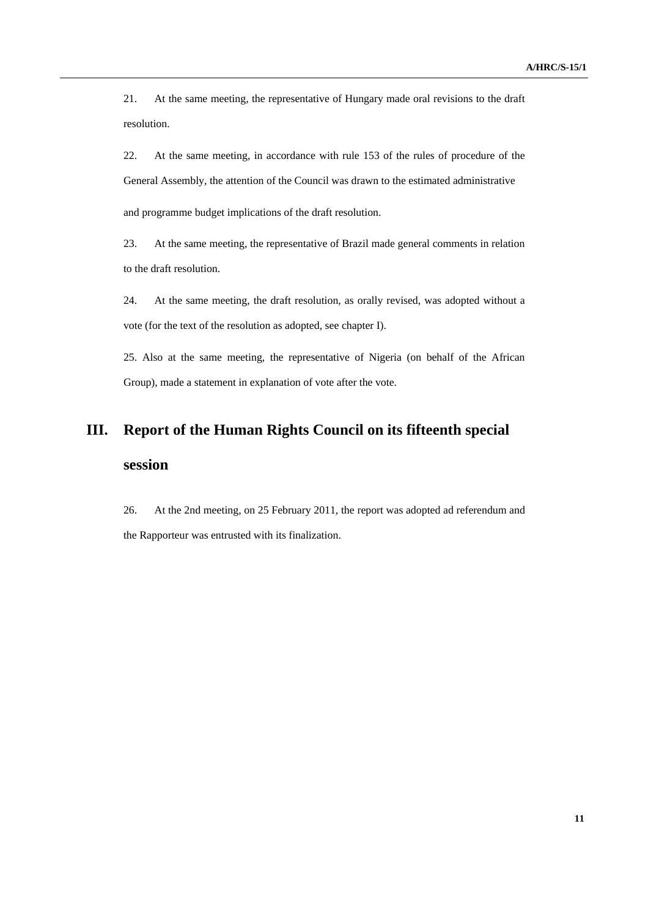21. At the same meeting, the representative of Hungary made oral revisions to the draft resolution.

22. At the same meeting, in accordance with rule 153 of the rules of procedure of the General Assembly, the attention of the Council was drawn to the estimated administrative and programme budget implications of the draft resolution.

23. At the same meeting, the representative of Brazil made general comments in relation to the draft resolution.

24. At the same meeting, the draft resolution, as orally revised, was adopted without a vote (for the text of the resolution as adopted, see chapter I).

25. Also at the same meeting, the representative of Nigeria (on behalf of the African Group), made a statement in explanation of vote after the vote.

## **III. Report of the Human Rights Council on its fifteenth special session**

26. At the 2nd meeting, on 25 February 2011, the report was adopted ad referendum and the Rapporteur was entrusted with its finalization.